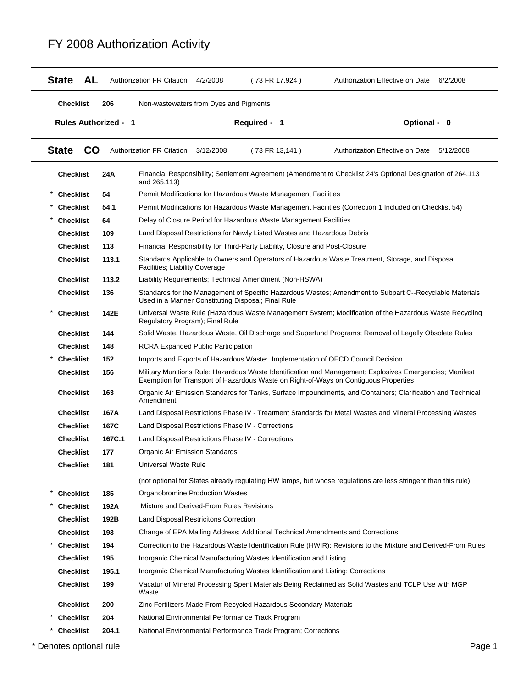| <b>AL</b><br><b>State</b>   |        | <b>Authorization FR Citation</b>                                                                                         | 4/2/2008  | (73 FR 17,924)                                                                  | Authorization Effective on Date<br>6/2/2008                                                                                                                                                      |  |  |  |
|-----------------------------|--------|--------------------------------------------------------------------------------------------------------------------------|-----------|---------------------------------------------------------------------------------|--------------------------------------------------------------------------------------------------------------------------------------------------------------------------------------------------|--|--|--|
| <b>Checklist</b>            | 206    | Non-wastewaters from Dyes and Pigments                                                                                   |           |                                                                                 |                                                                                                                                                                                                  |  |  |  |
| <b>Rules Authorized - 1</b> |        |                                                                                                                          |           | Required - 1                                                                    | Optional - 0                                                                                                                                                                                     |  |  |  |
| <b>State</b><br><b>CO</b>   |        | <b>Authorization FR Citation</b>                                                                                         | 3/12/2008 | (73 FR 13,141)                                                                  | Authorization Effective on Date<br>5/12/2008                                                                                                                                                     |  |  |  |
| <b>Checklist</b>            | 24A    | and 265.113)                                                                                                             |           |                                                                                 | Financial Responsibility; Settlement Agreement (Amendment to Checklist 24's Optional Designation of 264.113                                                                                      |  |  |  |
| <b>Checklist</b>            | 54     |                                                                                                                          |           | Permit Modifications for Hazardous Waste Management Facilities                  |                                                                                                                                                                                                  |  |  |  |
| <b>Checklist</b>            | 54.1   |                                                                                                                          |           |                                                                                 | Permit Modifications for Hazardous Waste Management Facilities (Correction 1 Included on Checklist 54)                                                                                           |  |  |  |
| <b>Checklist</b>            | 64     |                                                                                                                          |           | Delay of Closure Period for Hazardous Waste Management Facilities               |                                                                                                                                                                                                  |  |  |  |
| <b>Checklist</b>            | 109    |                                                                                                                          |           | Land Disposal Restrictions for Newly Listed Wastes and Hazardous Debris         |                                                                                                                                                                                                  |  |  |  |
| <b>Checklist</b>            | 113    |                                                                                                                          |           | Financial Responsibility for Third-Party Liability, Closure and Post-Closure    |                                                                                                                                                                                                  |  |  |  |
| <b>Checklist</b>            | 113.1  | Facilities; Liability Coverage                                                                                           |           |                                                                                 | Standards Applicable to Owners and Operators of Hazardous Waste Treatment, Storage, and Disposal                                                                                                 |  |  |  |
| <b>Checklist</b>            | 113.2  |                                                                                                                          |           | Liability Requirements; Technical Amendment (Non-HSWA)                          |                                                                                                                                                                                                  |  |  |  |
| <b>Checklist</b>            | 136    |                                                                                                                          |           | Used in a Manner Constituting Disposal; Final Rule                              | Standards for the Management of Specific Hazardous Wastes; Amendment to Subpart C--Recyclable Materials                                                                                          |  |  |  |
| <b>Checklist</b>            | 142E   | Regulatory Program); Final Rule                                                                                          |           |                                                                                 | Universal Waste Rule (Hazardous Waste Management System; Modification of the Hazardous Waste Recycling                                                                                           |  |  |  |
| <b>Checklist</b>            | 144    |                                                                                                                          |           |                                                                                 | Solid Waste, Hazardous Waste, Oil Discharge and Superfund Programs; Removal of Legally Obsolete Rules                                                                                            |  |  |  |
| <b>Checklist</b>            | 148    | <b>RCRA Expanded Public Participation</b>                                                                                |           |                                                                                 |                                                                                                                                                                                                  |  |  |  |
| <b>Checklist</b>            | 152    |                                                                                                                          |           |                                                                                 | Imports and Exports of Hazardous Waste: Implementation of OECD Council Decision                                                                                                                  |  |  |  |
| <b>Checklist</b>            | 156    |                                                                                                                          |           |                                                                                 | Military Munitions Rule: Hazardous Waste Identification and Management; Explosives Emergencies; Manifest<br>Exemption for Transport of Hazardous Waste on Right-of-Ways on Contiguous Properties |  |  |  |
| <b>Checklist</b>            | 163    | Organic Air Emission Standards for Tanks, Surface Impoundments, and Containers; Clarification and Technical<br>Amendment |           |                                                                                 |                                                                                                                                                                                                  |  |  |  |
| <b>Checklist</b>            | 167A   | Land Disposal Restrictions Phase IV - Treatment Standards for Metal Wastes and Mineral Processing Wastes                 |           |                                                                                 |                                                                                                                                                                                                  |  |  |  |
| <b>Checklist</b>            | 167C   |                                                                                                                          |           | Land Disposal Restrictions Phase IV - Corrections                               |                                                                                                                                                                                                  |  |  |  |
| <b>Checklist</b>            | 167C.1 | Land Disposal Restrictions Phase IV - Corrections                                                                        |           |                                                                                 |                                                                                                                                                                                                  |  |  |  |
| <b>Checklist</b>            | 177    | Organic Air Emission Standards                                                                                           |           |                                                                                 |                                                                                                                                                                                                  |  |  |  |
| <b>Checklist</b>            | 181    | Universal Waste Rule                                                                                                     |           |                                                                                 |                                                                                                                                                                                                  |  |  |  |
|                             |        |                                                                                                                          |           |                                                                                 | (not optional for States already regulating HW lamps, but whose regulations are less stringent than this rule)                                                                                   |  |  |  |
| <b>Checklist</b>            | 185    | Organobromine Production Wastes                                                                                          |           |                                                                                 |                                                                                                                                                                                                  |  |  |  |
| <b>Checklist</b>            | 192A   | Mixture and Derived-From Rules Revisions                                                                                 |           |                                                                                 |                                                                                                                                                                                                  |  |  |  |
| <b>Checklist</b>            | 192B   | Land Disposal Restricitons Correction                                                                                    |           |                                                                                 |                                                                                                                                                                                                  |  |  |  |
| <b>Checklist</b>            | 193    |                                                                                                                          |           |                                                                                 | Change of EPA Mailing Address; Additional Technical Amendments and Corrections                                                                                                                   |  |  |  |
| <b>Checklist</b>            | 194    |                                                                                                                          |           |                                                                                 | Correction to the Hazardous Waste Identification Rule (HWIR): Revisions to the Mixture and Derived-From Rules                                                                                    |  |  |  |
| <b>Checklist</b>            | 195    |                                                                                                                          |           | Inorganic Chemical Manufacturing Wastes Identification and Listing              |                                                                                                                                                                                                  |  |  |  |
| <b>Checklist</b>            | 195.1  |                                                                                                                          |           | Inorganic Chemical Manufacturing Wastes Identification and Listing: Corrections |                                                                                                                                                                                                  |  |  |  |
| <b>Checklist</b>            | 199    | Waste                                                                                                                    |           |                                                                                 | Vacatur of Mineral Processing Spent Materials Being Reclaimed as Solid Wastes and TCLP Use with MGP                                                                                              |  |  |  |
| <b>Checklist</b>            | 200    |                                                                                                                          |           | Zinc Fertilizers Made From Recycled Hazardous Secondary Materials               |                                                                                                                                                                                                  |  |  |  |
| <b>Checklist</b>            | 204    |                                                                                                                          |           | National Environmental Performance Track Program                                |                                                                                                                                                                                                  |  |  |  |
| <b>Checklist</b>            | 204.1  |                                                                                                                          |           | National Environmental Performance Track Program; Corrections                   |                                                                                                                                                                                                  |  |  |  |

\* Denotes optional rule **Page 1**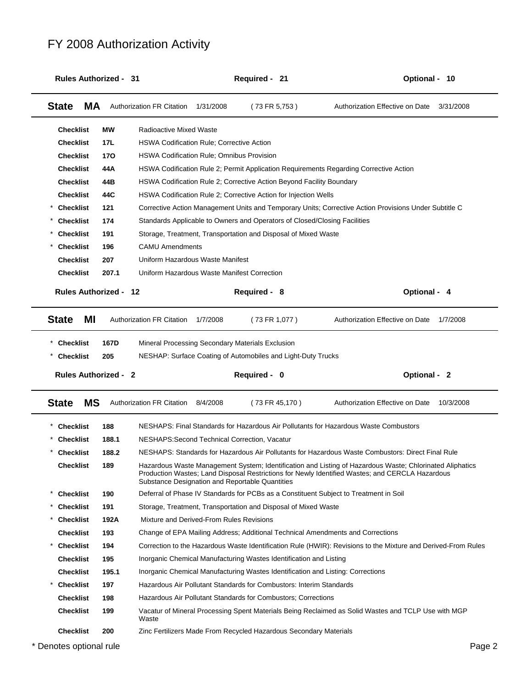| <b>Rules Authorized - 31</b> |       |                                                  |           | Required - 21                                                                   | Optional - 10                                                                                                                                                                                               |
|------------------------------|-------|--------------------------------------------------|-----------|---------------------------------------------------------------------------------|-------------------------------------------------------------------------------------------------------------------------------------------------------------------------------------------------------------|
| <b>State</b><br>MA           |       | <b>Authorization FR Citation</b>                 | 1/31/2008 | (73 FR 5,753)                                                                   | Authorization Effective on Date<br>3/31/2008                                                                                                                                                                |
| <b>Checklist</b>             | МW    | <b>Radioactive Mixed Waste</b>                   |           |                                                                                 |                                                                                                                                                                                                             |
| <b>Checklist</b>             | 17L   | <b>HSWA Codification Rule; Corrective Action</b> |           |                                                                                 |                                                                                                                                                                                                             |
| <b>Checklist</b>             | 170   | HSWA Codification Rule; Omnibus Provision        |           |                                                                                 |                                                                                                                                                                                                             |
| <b>Checklist</b>             | 44A   |                                                  |           |                                                                                 | HSWA Codification Rule 2; Permit Application Requirements Regarding Corrective Action                                                                                                                       |
| <b>Checklist</b>             | 44B   |                                                  |           | HSWA Codification Rule 2; Corrective Action Beyond Facility Boundary            |                                                                                                                                                                                                             |
| <b>Checklist</b>             | 44C   |                                                  |           | HSWA Codification Rule 2; Corrective Action for Injection Wells                 |                                                                                                                                                                                                             |
| <b>Checklist</b>             | 121   |                                                  |           |                                                                                 | Corrective Action Management Units and Temporary Units; Corrective Action Provisions Under Subtitle C                                                                                                       |
| <b>Checklist</b>             | 174   |                                                  |           | Standards Applicable to Owners and Operators of Closed/Closing Facilities       |                                                                                                                                                                                                             |
| <b>Checklist</b>             | 191   |                                                  |           | Storage, Treatment, Transportation and Disposal of Mixed Waste                  |                                                                                                                                                                                                             |
| <b>Checklist</b>             | 196   | <b>CAMU Amendments</b>                           |           |                                                                                 |                                                                                                                                                                                                             |
| <b>Checklist</b>             | 207   | Uniform Hazardous Waste Manifest                 |           |                                                                                 |                                                                                                                                                                                                             |
| <b>Checklist</b>             | 207.1 | Uniform Hazardous Waste Manifest Correction      |           |                                                                                 |                                                                                                                                                                                                             |
| <b>Rules Authorized - 12</b> |       |                                                  |           | Required - 8                                                                    | Optional - 4                                                                                                                                                                                                |
| <b>State</b><br>ΜI           |       | <b>Authorization FR Citation</b>                 | 1/7/2008  | (73 FR 1,077)                                                                   | Authorization Effective on Date<br>1/7/2008                                                                                                                                                                 |
| <b>Checklist</b>             | 167D  |                                                  |           | Mineral Processing Secondary Materials Exclusion                                |                                                                                                                                                                                                             |
| <b>Checklist</b>             | 205   |                                                  |           | NESHAP: Surface Coating of Automobiles and Light-Duty Trucks                    |                                                                                                                                                                                                             |
|                              |       |                                                  |           |                                                                                 |                                                                                                                                                                                                             |
| <b>Rules Authorized - 2</b>  |       |                                                  |           | Required - 0                                                                    | Optional - 2                                                                                                                                                                                                |
| <b>State</b><br><b>MS</b>    |       | Authorization FR Citation                        | 8/4/2008  | (73 FR 45,170)                                                                  | Authorization Effective on Date<br>10/3/2008                                                                                                                                                                |
| <b>Checklist</b>             | 188   |                                                  |           |                                                                                 | NESHAPS: Final Standards for Hazardous Air Pollutants for Hazardous Waste Combustors                                                                                                                        |
| <b>Checklist</b>             | 188.1 |                                                  |           | NESHAPS: Second Technical Correction, Vacatur                                   |                                                                                                                                                                                                             |
| <b>Checklist</b>             | 188.2 |                                                  |           |                                                                                 | NESHAPS: Standards for Hazardous Air Pollutants for Hazardous Waste Combustors: Direct Final Rule                                                                                                           |
| <b>Checklist</b>             | 189   |                                                  |           | Substance Designation and Reportable Quantities                                 | Hazardous Waste Management System; Identification and Listing of Hazardous Waste; Chlorinated Aliphatics<br>Production Wastes; Land Disposal Restrictions for Newly Identified Wastes; and CERCLA Hazardous |
| <b>Checklist</b>             | 190   |                                                  |           |                                                                                 | Deferral of Phase IV Standards for PCBs as a Constituent Subject to Treatment in Soil                                                                                                                       |
| <b>Checklist</b>             | 191   |                                                  |           | Storage, Treatment, Transportation and Disposal of Mixed Waste                  |                                                                                                                                                                                                             |
| <b>Checklist</b>             | 192A  | Mixture and Derived-From Rules Revisions         |           |                                                                                 |                                                                                                                                                                                                             |
| <b>Checklist</b>             | 193   |                                                  |           |                                                                                 | Change of EPA Mailing Address; Additional Technical Amendments and Corrections                                                                                                                              |
| <b>Checklist</b>             | 194   |                                                  |           |                                                                                 | Correction to the Hazardous Waste Identification Rule (HWIR): Revisions to the Mixture and Derived-From Rules                                                                                               |
| <b>Checklist</b>             | 195   |                                                  |           | Inorganic Chemical Manufacturing Wastes Identification and Listing              |                                                                                                                                                                                                             |
| <b>Checklist</b>             | 195.1 |                                                  |           | Inorganic Chemical Manufacturing Wastes Identification and Listing: Corrections |                                                                                                                                                                                                             |
| <b>Checklist</b><br>*        | 197   |                                                  |           | Hazardous Air Pollutant Standards for Combustors: Interim Standards             |                                                                                                                                                                                                             |
| <b>Checklist</b>             | 198   |                                                  |           | Hazardous Air Pollutant Standards for Combustors; Corrections                   |                                                                                                                                                                                                             |
| <b>Checklist</b>             | 199   | Waste                                            |           |                                                                                 | Vacatur of Mineral Processing Spent Materials Being Reclaimed as Solid Wastes and TCLP Use with MGP                                                                                                         |
| <b>Checklist</b>             | 200   |                                                  |           | Zinc Fertilizers Made From Recycled Hazardous Secondary Materials               |                                                                                                                                                                                                             |
|                              |       |                                                  |           |                                                                                 |                                                                                                                                                                                                             |
| * Denotes optional rule      |       |                                                  |           |                                                                                 | Page 2                                                                                                                                                                                                      |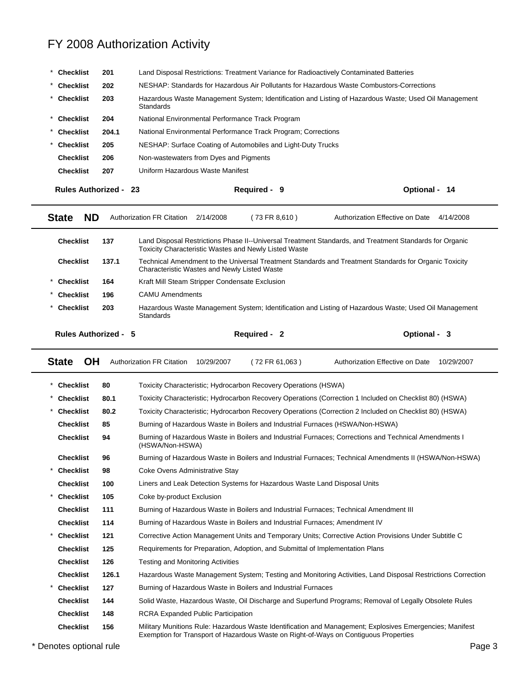| <b>Checklist</b>                                                                                                                                     | Land Disposal Restrictions: Treatment Variance for Radioactively Contaminated Batteries<br>201 |                                                                                                                    |  |              |                                                                                                         |               |  |  |
|------------------------------------------------------------------------------------------------------------------------------------------------------|------------------------------------------------------------------------------------------------|--------------------------------------------------------------------------------------------------------------------|--|--------------|---------------------------------------------------------------------------------------------------------|---------------|--|--|
| <b>Checklist</b>                                                                                                                                     | 202                                                                                            | NESHAP: Standards for Hazardous Air Pollutants for Hazardous Waste Combustors-Corrections                          |  |              |                                                                                                         |               |  |  |
| <b>Checklist</b>                                                                                                                                     | 203                                                                                            | Hazardous Waste Management System; Identification and Listing of Hazardous Waste; Used Oil Management<br>Standards |  |              |                                                                                                         |               |  |  |
| <b>Checklist</b>                                                                                                                                     | 204                                                                                            | National Environmental Performance Track Program                                                                   |  |              |                                                                                                         |               |  |  |
| <b>Checklist</b>                                                                                                                                     | 204.1                                                                                          | National Environmental Performance Track Program; Corrections                                                      |  |              |                                                                                                         |               |  |  |
| <b>Checklist</b>                                                                                                                                     | 205                                                                                            | NESHAP: Surface Coating of Automobiles and Light-Duty Trucks                                                       |  |              |                                                                                                         |               |  |  |
| <b>Checklist</b>                                                                                                                                     | 206                                                                                            | Non-wastewaters from Dyes and Pigments                                                                             |  |              |                                                                                                         |               |  |  |
| <b>Checklist</b>                                                                                                                                     | 207                                                                                            | Uniform Hazardous Waste Manifest                                                                                   |  |              |                                                                                                         |               |  |  |
| <b>Rules Authorized - 23</b>                                                                                                                         |                                                                                                |                                                                                                                    |  | Required - 9 |                                                                                                         | Optional - 14 |  |  |
| <b>ND</b><br><b>State</b><br><b>Authorization FR Citation</b><br>(73 FR 8,610)<br>Authorization Effective on Date<br>4/14/2008<br>2/14/2008          |                                                                                                |                                                                                                                    |  |              |                                                                                                         |               |  |  |
| <b>Checklist</b>                                                                                                                                     | 137                                                                                            | <b>Toxicity Characteristic Wastes and Newly Listed Waste</b>                                                       |  |              | Land Disposal Restrictions Phase II--Universal Treatment Standards, and Treatment Standards for Organic |               |  |  |
| <b>Checklist</b>                                                                                                                                     | 137.1                                                                                          | Characteristic Wastes and Newly Listed Waste                                                                       |  |              | Technical Amendment to the Universal Treatment Standards and Treatment Standards for Organic Toxicity   |               |  |  |
| <b>Checklist</b>                                                                                                                                     | 164                                                                                            | Kraft Mill Steam Stripper Condensate Exclusion                                                                     |  |              |                                                                                                         |               |  |  |
| <b>Checklist</b>                                                                                                                                     | 196                                                                                            | <b>CAMU Amendments</b>                                                                                             |  |              |                                                                                                         |               |  |  |
| Hazardous Waste Management System; Identification and Listing of Hazardous Waste; Used Oil Management<br><b>Checklist</b><br>203<br><b>Standards</b> |                                                                                                |                                                                                                                    |  |              |                                                                                                         |               |  |  |
| <b>Rules Authorized - 5</b>                                                                                                                          |                                                                                                |                                                                                                                    |  | Required - 2 |                                                                                                         | Optional - 3  |  |  |
| <b>State</b><br>OН<br><b>Authorization FR Citation</b><br>Authorization Effective on Date<br>10/29/2007<br>(72 FR 61,063)<br>10/29/2007              |                                                                                                |                                                                                                                    |  |              |                                                                                                         |               |  |  |
|                                                                                                                                                      |                                                                                                |                                                                                                                    |  |              |                                                                                                         |               |  |  |

| *                       | <b>Checklist</b> | 80    | Toxicity Characteristic: Hydrocarbon Recovery Operations (HSWA)                                                                                                                                  |
|-------------------------|------------------|-------|--------------------------------------------------------------------------------------------------------------------------------------------------------------------------------------------------|
| *                       |                  |       |                                                                                                                                                                                                  |
|                         | <b>Checklist</b> | 80.1  | Toxicity Characteristic; Hydrocarbon Recovery Operations (Correction 1 Included on Checklist 80) (HSWA)                                                                                          |
| *                       | <b>Checklist</b> | 80.2  | Toxicity Characteristic; Hydrocarbon Recovery Operations (Correction 2 Included on Checklist 80) (HSWA)                                                                                          |
|                         | <b>Checklist</b> | 85    | Burning of Hazardous Waste in Boilers and Industrial Furnaces (HSWA/Non-HSWA)                                                                                                                    |
|                         | <b>Checklist</b> | 94    | Burning of Hazardous Waste in Boilers and Industrial Furnaces; Corrections and Technical Amendments I<br>(HSWA/Non-HSWA)                                                                         |
|                         | <b>Checklist</b> | 96    | Burning of Hazardous Waste in Boilers and Industrial Furnaces; Technical Amendments II (HSWA/Non-HSWA)                                                                                           |
| $^{\star}$              | <b>Checklist</b> | 98    | Coke Ovens Administrative Stay                                                                                                                                                                   |
|                         | <b>Checklist</b> | 100   | Liners and Leak Detection Systems for Hazardous Waste Land Disposal Units                                                                                                                        |
|                         | <b>Checklist</b> | 105   | Coke by-product Exclusion                                                                                                                                                                        |
|                         | <b>Checklist</b> | 111   | Burning of Hazardous Waste in Boilers and Industrial Furnaces; Technical Amendment III                                                                                                           |
|                         | <b>Checklist</b> | 114   | Burning of Hazardous Waste in Boilers and Industrial Furnaces; Amendment IV                                                                                                                      |
| *                       | <b>Checklist</b> | 121   | Corrective Action Management Units and Temporary Units; Corrective Action Provisions Under Subtitle C                                                                                            |
|                         | <b>Checklist</b> | 125   | Requirements for Preparation, Adoption, and Submittal of Implementation Plans                                                                                                                    |
|                         | <b>Checklist</b> | 126   | <b>Testing and Monitoring Activities</b>                                                                                                                                                         |
|                         | <b>Checklist</b> | 126.1 | Hazardous Waste Management System; Testing and Monitoring Activities, Land Disposal Restrictions Correction                                                                                      |
| $\star$                 | <b>Checklist</b> | 127   | Burning of Hazardous Waste in Boilers and Industrial Furnaces                                                                                                                                    |
|                         | <b>Checklist</b> | 144   | Solid Waste, Hazardous Waste, Oil Discharge and Superfund Programs; Removal of Legally Obsolete Rules                                                                                            |
|                         | <b>Checklist</b> | 148   | <b>RCRA Expanded Public Participation</b>                                                                                                                                                        |
|                         | <b>Checklist</b> | 156   | Military Munitions Rule: Hazardous Waste Identification and Management; Explosives Emergencies; Manifest<br>Exemption for Transport of Hazardous Waste on Right-of-Ways on Contiguous Properties |
| * Denotes optional rule |                  |       | Page 3                                                                                                                                                                                           |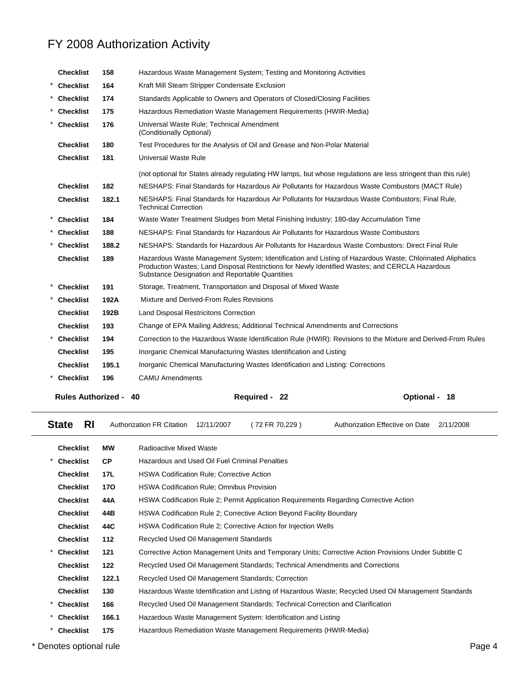|          | <b>Rules Authorized -</b> |       | Required - 22<br>40                                                                                                                                                                                                                                            | Optional - 18 |
|----------|---------------------------|-------|----------------------------------------------------------------------------------------------------------------------------------------------------------------------------------------------------------------------------------------------------------------|---------------|
|          | * Checklist               | 196   | <b>CAMU Amendments</b>                                                                                                                                                                                                                                         |               |
|          | <b>Checklist</b>          | 195.1 | Inorganic Chemical Manufacturing Wastes Identification and Listing: Corrections                                                                                                                                                                                |               |
|          | <b>Checklist</b>          | 195   | Inorganic Chemical Manufacturing Wastes Identification and Listing                                                                                                                                                                                             |               |
|          | * Checklist               | 194   | Correction to the Hazardous Waste Identification Rule (HWIR): Revisions to the Mixture and Derived-From Rules                                                                                                                                                  |               |
|          | <b>Checklist</b>          | 193   | Change of EPA Mailing Address; Additional Technical Amendments and Corrections                                                                                                                                                                                 |               |
|          | <b>Checklist</b>          | 192B  | Land Disposal Restricitons Correction                                                                                                                                                                                                                          |               |
|          | * Checklist               | 192A  | Mixture and Derived-From Rules Revisions                                                                                                                                                                                                                       |               |
|          | * Checklist               | 191   | Storage, Treatment, Transportation and Disposal of Mixed Waste                                                                                                                                                                                                 |               |
|          | <b>Checklist</b>          | 189   | Hazardous Waste Management System; Identification and Listing of Hazardous Waste; Chlorinated Aliphatics<br>Production Wastes; Land Disposal Restrictions for Newly Identified Wastes; and CERCLA Hazardous<br>Substance Designation and Reportable Quantities |               |
|          | <b>Checklist</b>          | 188.2 | NESHAPS: Standards for Hazardous Air Pollutants for Hazardous Waste Combustors: Direct Final Rule                                                                                                                                                              |               |
|          | * Checklist               | 188   | NESHAPS: Final Standards for Hazardous Air Pollutants for Hazardous Waste Combustors                                                                                                                                                                           |               |
|          | * Checklist               | 184   | Waste Water Treatment Sludges from Metal Finishing Industry; 180-day Accumulation Time                                                                                                                                                                         |               |
|          | <b>Checklist</b>          | 182.1 | NESHAPS: Final Standards for Hazardous Air Pollutants for Hazardous Waste Combustors; Final Rule,<br><b>Technical Correction</b>                                                                                                                               |               |
|          | <b>Checklist</b>          | 182   | NESHAPS: Final Standards for Hazardous Air Pollutants for Hazardous Waste Combustors (MACT Rule)                                                                                                                                                               |               |
|          |                           |       | (not optional for States already regulating HW lamps, but whose regulations are less stringent than this rule)                                                                                                                                                 |               |
|          | <b>Checklist</b>          | 181   | <b>Universal Waste Rule</b>                                                                                                                                                                                                                                    |               |
|          | <b>Checklist</b>          | 180   | Test Procedures for the Analysis of Oil and Grease and Non-Polar Material                                                                                                                                                                                      |               |
|          | <b>Checklist</b>          | 176   | Universal Waste Rule; Technical Amendment<br>(Conditionally Optional)                                                                                                                                                                                          |               |
|          | * Checklist               | 175   | Hazardous Remediation Waste Management Requirements (HWIR-Media)                                                                                                                                                                                               |               |
|          | * Checklist               | 174   | Standards Applicable to Owners and Operators of Closed/Closing Facilities                                                                                                                                                                                      |               |
| $^\star$ | <b>Checklist</b>          | 164   | Kraft Mill Steam Stripper Condensate Exclusion                                                                                                                                                                                                                 |               |
|          | <b>Checklist</b>          | 158   | Hazardous Waste Management System; Testing and Monitoring Activities                                                                                                                                                                                           |               |

| <b>RI</b><br><b>State</b> |                                                                                              | <b>Authorization FR Citation</b>                                | 12/11/2007                                                    | (72 FR 70,229)                                                   | Authorization Effective on Date                                                                       | 2/11/2008 |  |
|---------------------------|----------------------------------------------------------------------------------------------|-----------------------------------------------------------------|---------------------------------------------------------------|------------------------------------------------------------------|-------------------------------------------------------------------------------------------------------|-----------|--|
| <b>Checklist</b>          | <b>MW</b>                                                                                    | Radioactive Mixed Waste                                         |                                                               |                                                                  |                                                                                                       |           |  |
| <b>Checklist</b>          | <b>CP</b>                                                                                    | Hazardous and Used Oil Fuel Criminal Penalties                  |                                                               |                                                                  |                                                                                                       |           |  |
| <b>Checklist</b>          | 17L                                                                                          | <b>HSWA Codification Rule: Corrective Action</b>                |                                                               |                                                                  |                                                                                                       |           |  |
| <b>Checklist</b>          | <b>HSWA Codification Rule; Omnibus Provision</b><br>170                                      |                                                                 |                                                               |                                                                  |                                                                                                       |           |  |
| <b>Checklist</b>          | HSWA Codification Rule 2; Permit Application Requirements Regarding Corrective Action<br>44A |                                                                 |                                                               |                                                                  |                                                                                                       |           |  |
| <b>Checklist</b>          | HSWA Codification Rule 2; Corrective Action Beyond Facility Boundary<br>44B                  |                                                                 |                                                               |                                                                  |                                                                                                       |           |  |
| <b>Checklist</b>          | 44C                                                                                          | HSWA Codification Rule 2; Corrective Action for Injection Wells |                                                               |                                                                  |                                                                                                       |           |  |
| <b>Checklist</b>          | 112                                                                                          | Recycled Used Oil Management Standards                          |                                                               |                                                                  |                                                                                                       |           |  |
| <b>Checklist</b>          | 121                                                                                          |                                                                 |                                                               |                                                                  | Corrective Action Management Units and Temporary Units; Corrective Action Provisions Under Subtitle C |           |  |
| <b>Checklist</b>          | 122                                                                                          |                                                                 |                                                               |                                                                  | Recycled Used Oil Management Standards; Technical Amendments and Corrections                          |           |  |
| <b>Checklist</b>          | 122.1                                                                                        |                                                                 |                                                               | Recycled Used Oil Management Standards; Correction               |                                                                                                       |           |  |
| <b>Checklist</b>          | 130                                                                                          |                                                                 |                                                               |                                                                  | Hazardous Waste Identification and Listing of Hazardous Waste; Recycled Used Oil Management Standards |           |  |
| *<br><b>Checklist</b>     | Recycled Used Oil Management Standards; Technical Correction and Clarification<br>166        |                                                                 |                                                               |                                                                  |                                                                                                       |           |  |
| *<br><b>Checklist</b>     | 166.1                                                                                        |                                                                 | Hazardous Waste Management System: Identification and Listing |                                                                  |                                                                                                       |           |  |
| *<br><b>Checklist</b>     | 175                                                                                          |                                                                 |                                                               | Hazardous Remediation Waste Management Requirements (HWIR-Media) |                                                                                                       |           |  |
|                           | * Denotes optional rule<br>Page 4                                                            |                                                                 |                                                               |                                                                  |                                                                                                       |           |  |